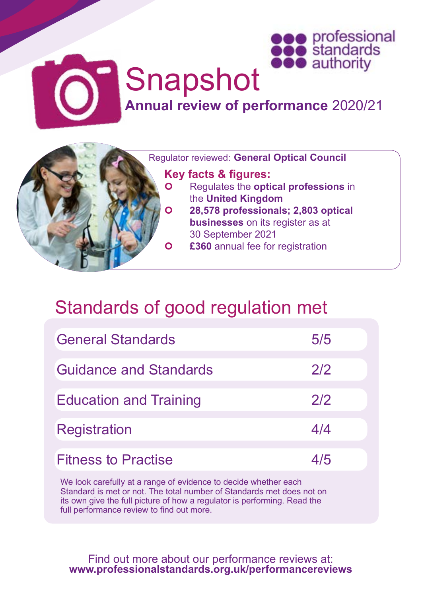



## Snapshot **Annual review of performance** 2020/21

Regulator reviewed: **General Optical Council**

## **Key facts & figures:**

- Regulates the **optical professions** in the **United Kingdom**
- **28,578 professionals; 2,803 optical businesses** on its register as at 30 September 2021 **£360** annual fee for registration

## Standards of good regulation met

| <b>General Standards</b>      | 5/5 |
|-------------------------------|-----|
| Guidance and Standards        | 2/2 |
| <b>Education and Training</b> | 2/2 |
| <b>Registration</b>           | 4/4 |
| <b>Fitness to Practise</b>    | 4/5 |

We look carefully at a range of evidence to decide whether each Standard is met or not. The total number of Standards met does not on its own give the full picture of how a regulator is performing. Read the full performance review to find out more.

Find out more about our performance reviews at: **[www.professionalstandards.org.uk/performancereviews](http://www.professionalstandards.org.uk/performancereviews)**